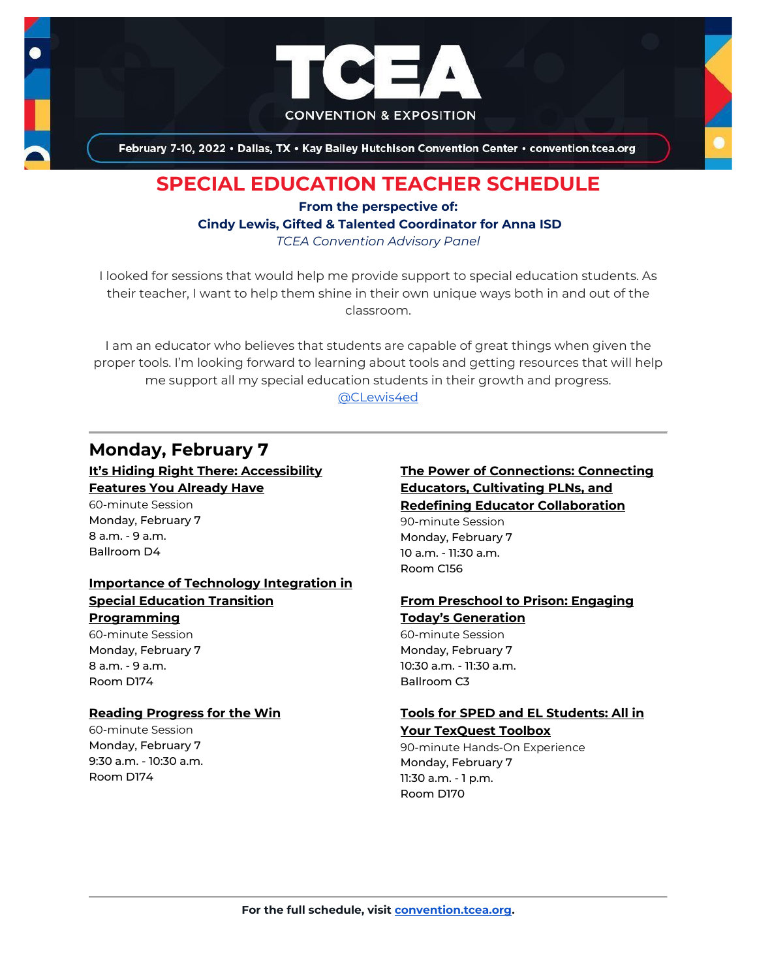

# **SPECIAL EDUCATION TEACHER SCHEDULE**

## **From the perspective of: Cindy Lewis, Gifted & Talented Coordinator for Anna ISD** *TCEA Convention Advisory Panel*

I looked for sessions that would help me provide support to special education students. As their teacher, I want to help them shine in their own unique ways both in and out of the classroom.

I am an educator who believes that students are capable of great things when given the proper tools. I'm looking forward to learning about tools and getting resources that will help me support all my special education students in their growth and progress. [@CLewis4ed](https://twitter.com/CLewis4ed)

# **Monday, February 7**

## **[It's Hiding Right There: Accessibility](https://register.tcea.org/2022/session_list.cfm?session_key=BF194A7C-F04D-A206-2B64-190955E99665&session_date=Monday,%20Feb%2007,%202022)  [Features You Already Have](https://register.tcea.org/2022/session_list.cfm?session_key=BF194A7C-F04D-A206-2B64-190955E99665&session_date=Monday,%20Feb%2007,%202022)**

60-minute Session Monday, February 7 8 a.m. - 9 a.m. Ballroom D4

## **[Importance of Technology Integration in](https://register.tcea.org/2022/session_list.cfm?session_key=023AE46C-F04D-A206-2B64-27C4CA26E67F&session_date=Monday,%20Feb%2007,%202022)  [Special Education Transition](https://register.tcea.org/2022/session_list.cfm?session_key=023AE46C-F04D-A206-2B64-27C4CA26E67F&session_date=Monday,%20Feb%2007,%202022)**

## **[Programming](https://register.tcea.org/2022/session_list.cfm?session_key=023AE46C-F04D-A206-2B64-27C4CA26E67F&session_date=Monday,%20Feb%2007,%202022)**

60-minute Session Monday, February 7 8 a.m. - 9 a.m. Room D174

## **[Reading Progress for the Win](https://register.tcea.org/2022/session_list.cfm?session_key=023F5E2B-F04D-A206-2B64-88627EB4432E&session_date=Monday,%20Feb%2007,%202022)**

60-minute Session Monday, February 7 9:30 a.m. - 10:30 a.m. Room D174

## **[The Power of Connections: Connecting](https://register.tcea.org/2022/session_list.cfm?session_key=023EB5C9-F04D-A206-2B64-16851E75870F&session_date=Monday,%20Feb%2007,%202022)  [Educators, Cultivating PLNs, and](https://register.tcea.org/2022/session_list.cfm?session_key=023EB5C9-F04D-A206-2B64-16851E75870F&session_date=Monday,%20Feb%2007,%202022)  [Redefining Educator Collaboration](https://register.tcea.org/2022/session_list.cfm?session_key=023EB5C9-F04D-A206-2B64-16851E75870F&session_date=Monday,%20Feb%2007,%202022)** 90-minute Session Monday, February 7

10 a.m. - 11:30 a.m. Room C156

## **[From Preschool to Prison: Engaging](https://register.tcea.org/2022/session_list.cfm?session_key=C435C900-F04D-A206-2B64-A794D88958AD&session_date=Monday,%20Feb%2007,%202022)  [Today's Generation](https://register.tcea.org/2022/session_list.cfm?session_key=C435C900-F04D-A206-2B64-A794D88958AD&session_date=Monday,%20Feb%2007,%202022)**

60-minute Session Monday, February 7 10:30 a.m. - 11:30 a.m. Ballroom C3

## **[Tools for SPED and EL Students: All in](https://register.tcea.org/2022/session_list.cfm?session_key=024370E4-F04D-A206-2B64-77804FCFCEF4&session_date=Monday,%20Feb%2007,%202022)**

### **[Your TexQuest Toolbox](https://register.tcea.org/2022/session_list.cfm?session_key=024370E4-F04D-A206-2B64-77804FCFCEF4&session_date=Monday,%20Feb%2007,%202022)**

90-minute Hands-On Experience Monday, February 7 11:30 a.m. - 1 p.m. Room D170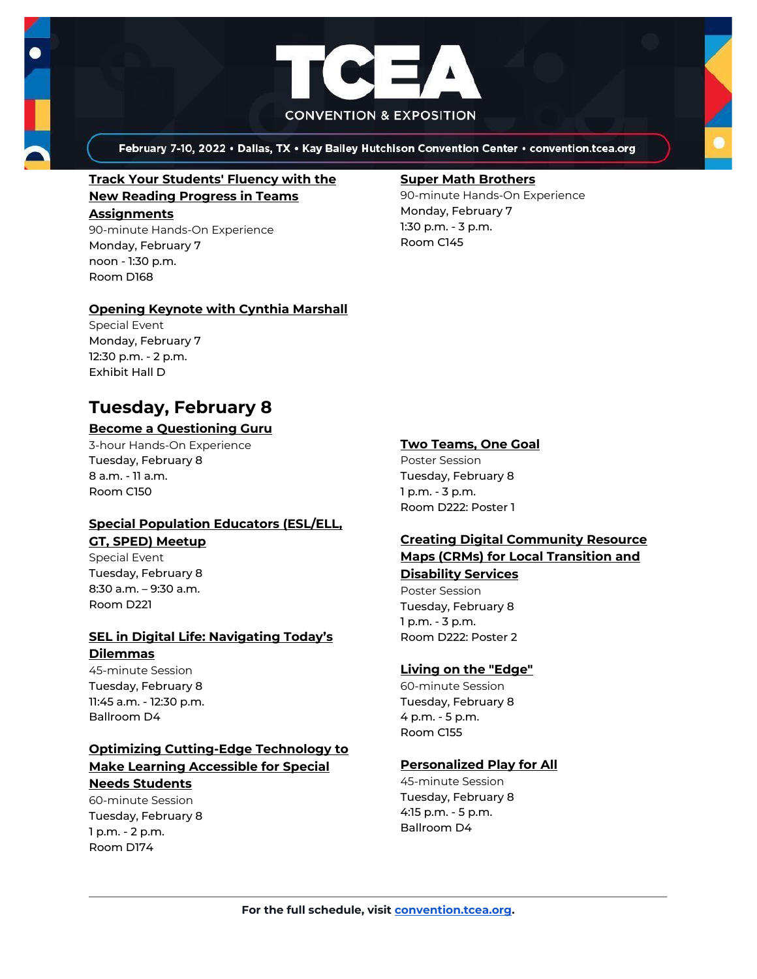



## **[Track Your Students' Fluency with](https://register.tcea.org/2022/session_list.cfm?session_key=02437DA5-F04D-A206-2B64-0FD53A58216B&session_date=Monday,%20Feb%2007,%202022) the [New Reading Progress in Teams](https://register.tcea.org/2022/session_list.cfm?session_key=02437DA5-F04D-A206-2B64-0FD53A58216B&session_date=Monday,%20Feb%2007,%202022)  [Assignments](https://register.tcea.org/2022/session_list.cfm?session_key=02437DA5-F04D-A206-2B64-0FD53A58216B&session_date=Monday,%20Feb%2007,%202022)**

90-minute Hands-On Experience Monday, February 7 noon - 1:30 p.m. Room D168

## **[Opening Keynote with Cynthia Marshall](https://register.tcea.org/2022/session_list.cfm?session_key=5F0745B8-F04D-A206-2B64-0D4631096E34&session_date=Monday,%20Feb%2007,%202022)**

Special Event Monday, February 7 12:30 p.m. - 2 p.m. Exhibit Hall D

# **Tuesday, February 8**

## **[Become a Questioning Guru](https://register.tcea.org/2022/session_list.cfm?session_key=02317D13-F04D-A206-2B64-55AFD821DD03&session_date=Tuesday,%20Feb%2008,%202022)**

3-hour Hands-On Experience Tuesday, February 8 8 a.m. - 11 a.m. Room C150

## **[Special Population Educators \(ESL/ELL,](https://register.tcea.org/2022/session_list.cfm?session_key=5EB27693-F04D-A206-2B64-B0DA6FDC956B&session_date=Tuesday,%20Feb%2008,%202022)  [GT, SPED\) Meetup](https://register.tcea.org/2022/session_list.cfm?session_key=5EB27693-F04D-A206-2B64-B0DA6FDC956B&session_date=Tuesday,%20Feb%2008,%202022)**

Special Event Tuesday, February 8 8:30 a.m. – 9:30 a.m. Room D221

## **[SEL in Digital Life: Navigating Today's](https://register.tcea.org/2022/session_list.cfm?session_key=02403170-F04D-A206-2B64-ED6EFDE5FDF0&session_date=Tuesday,%20Feb%2008,%202022)  [Dilemmas](https://register.tcea.org/2022/session_list.cfm?session_key=02403170-F04D-A206-2B64-ED6EFDE5FDF0&session_date=Tuesday,%20Feb%2008,%202022)**

45-minute Session Tuesday, February 8 11:45 a.m. - 12:30 p.m. Ballroom D4

## **[Optimizing Cutting-Edge Technology to](https://register.tcea.org/2022/session_list.cfm?session_key=023E0D2B-F04D-A206-2B64-C17647851ACA&session_date=Tuesday,%20Feb%2008,%202022)  [Make Learning Accessible for Special](https://register.tcea.org/2022/session_list.cfm?session_key=023E0D2B-F04D-A206-2B64-C17647851ACA&session_date=Tuesday,%20Feb%2008,%202022)  [Needs Students](https://register.tcea.org/2022/session_list.cfm?session_key=023E0D2B-F04D-A206-2B64-C17647851ACA&session_date=Tuesday,%20Feb%2008,%202022)**

60-minute Session Tuesday, February 8 1 p.m. - 2 p.m. Room D174

### **[Super Math Brothers](https://register.tcea.org/2022/session_list.cfm?session_key=02419E63-F04D-A206-2B64-4B3F0572FB52&session_date=Monday,%20Feb%2007,%202022)**

90-minute Hands-On Experience Monday, February 7 1:30 p.m. - 3 p.m. Room C145

## **[Two Teams, One Goal](https://register.tcea.org/2022/session_list.cfm?session_key=0243BCC5-F04D-A206-2B64-69718259CC46&session_date=Tuesday,%20Feb%2008,%202022)**

Poster Session Tuesday, February 8 1 p.m. - 3 p.m. Room D222: Poster 1

## **[Creating Digital Community Resource](https://register.tcea.org/2022/session_list.cfm?session_key=023457F3-F04D-A206-2B64-3A96E71AC551&session_date=Tuesday,%20Feb%2008,%202022)  [Maps \(CRMs\) for Local Transition and](https://register.tcea.org/2022/session_list.cfm?session_key=023457F3-F04D-A206-2B64-3A96E71AC551&session_date=Tuesday,%20Feb%2008,%202022)**

## **[Disability Services](https://register.tcea.org/2022/session_list.cfm?session_key=023457F3-F04D-A206-2B64-3A96E71AC551&session_date=Tuesday,%20Feb%2008,%202022)**

Poster Session Tuesday, February 8 1 p.m. - 3 p.m. Room D222: Poster 2

## **[Living on the "Edge"](https://register.tcea.org/2022/session_list.cfm?session_key=023CF19C-F04D-A206-2B64-10C9D227AE59&session_date=Tuesday,%20Feb%2008,%202022)**

60-minute Session Tuesday, February 8 4 p.m. - 5 p.m. Room C155

## **[Personalized Play for All](https://register.tcea.org/2022/session_list.cfm?session_key=023E74E3-F04D-A206-2B64-02FAD64AF275&session_date=Tuesday,%20Feb%2008,%202022)**

45-minute Session Tuesday, February 8 4:15 p.m. - 5 p.m. Ballroom D4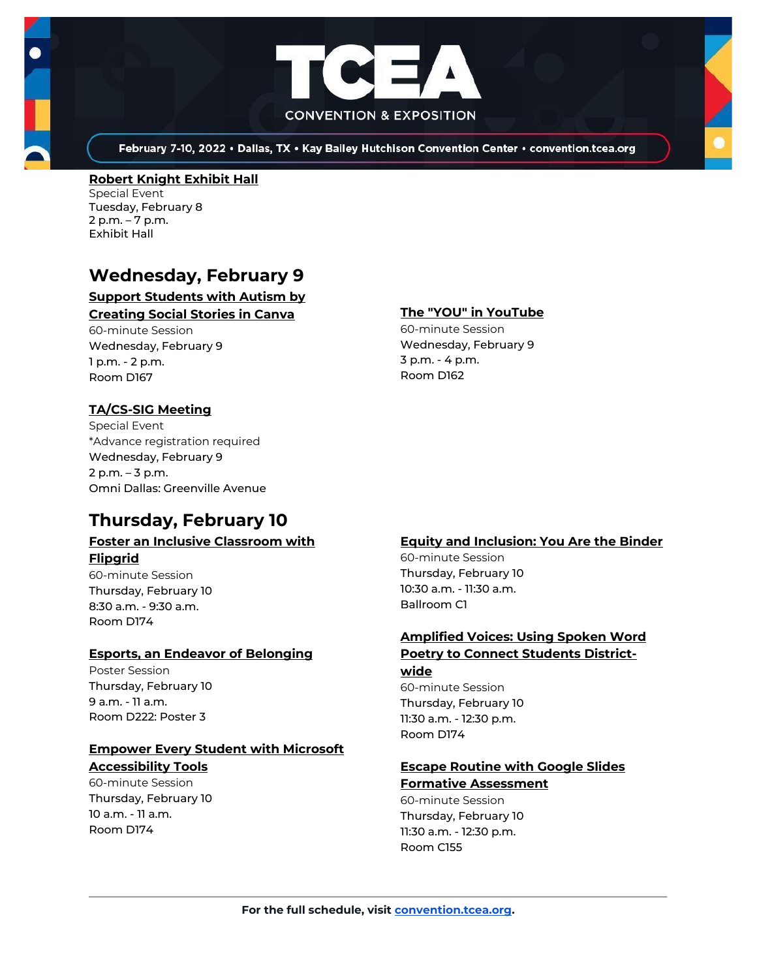



#### **[Robert Knight Exhibit Hall](https://register.tcea.org/2022/session_list.cfm?session_key=61CDF249-F04D-A206-2B64-15D6559D2515&session_date=Tuesday,%20Feb%2008,%202022)** Special Event

Tuesday, February 8 2 p.m. – 7 p.m. Exhibit Hall

# **Wednesday, February 9**

## **[Support Students with Autism by](https://register.tcea.org/2022/session_list.cfm?session_key=02347E47-F04D-A206-2B64-CA313E5F9B86&session_date=Wednesday,%20Feb%2009,%202022)  [Creating Social Stories in Canva](https://register.tcea.org/2022/session_list.cfm?session_key=02347E47-F04D-A206-2B64-CA313E5F9B86&session_date=Wednesday,%20Feb%2009,%202022)**

60-minute Session Wednesday, February 9 1 p.m. - 2 p.m. Room D167

## **[TA/CS-SIG Meeting](https://register.tcea.org/2022/session_list.cfm?session_key=8A1B60F2-F04D-A206-2B64-61CBDAB9C6E0&session_date=Wednesday,%20Feb%2009,%202022)**

Special Event \*Advance registration required Wednesday, February 9 2 p.m. – 3 p.m. Omni Dallas: Greenville Avenue

# **Thursday, February 10**

### **[Foster an Inclusive Classroom with](https://register.tcea.org/2022/session_list.cfm?session_key=0237D59F-F04D-A206-2B64-F8BD8CA8B219&session_date=Thursday,%20Feb%2010,%202022)  [Flipgrid](https://register.tcea.org/2022/session_list.cfm?session_key=0237D59F-F04D-A206-2B64-F8BD8CA8B219&session_date=Thursday,%20Feb%2010,%202022)**

60-minute Session Thursday, February 10 8:30 a.m. - 9:30 a.m. Room D174

## **[Esports, an Endeavor of Belonging](https://register.tcea.org/2022/session_list.cfm?session_key=02354802-F04D-A206-2B64-F3A8F77601BF&session_date=Thursday,%20Feb%2010,%202022)**

Poster Session Thursday, February 10 9 a.m. - 11 a.m. Room D222: Poster 3

## **[Empower Every Student with Microsoft](https://register.tcea.org/2022/session_list.cfm?session_key=0237050E-F04D-A206-2B64-28382FA593CF&session_date=Thursday,%20Feb%2010,%202022)**

**[Accessibility Tools](https://register.tcea.org/2022/session_list.cfm?session_key=0237050E-F04D-A206-2B64-28382FA593CF&session_date=Thursday,%20Feb%2010,%202022)** 60-minute Session

Thursday, February 10 10 a.m. - 11 a.m. Room D174

## **[The "YOU" in YouTube](https://register.tcea.org/2022/session_list.cfm?session_key=024252C8-F04D-A206-2B64-B1CCDDEF6494&session_date=Wednesday,%20Feb%2009,%202022)**

60-minute Session Wednesday, February 9 3 p.m. - 4 p.m. Room D162

## **[Equity and Inclusion: You Are the Binder](https://register.tcea.org/2022/session_list.cfm?session_key=61A20696-F04D-A206-2B64-9B7608A74DD8&session_date=Thursday,%20Feb%2010,%202022)**

60-minute Session Thursday, February 10 10:30 a.m. - 11:30 a.m. Ballroom C1

## **[Amplified Voices: Using Spoken Word](https://register.tcea.org/2022/session_list.cfm?session_key=02309352-F04D-A206-2B64-FAAC209EECF7&session_date=Thursday,%20Feb%2010,%202022)  [Poetry to Connect Students District-](https://register.tcea.org/2022/session_list.cfm?session_key=02309352-F04D-A206-2B64-FAAC209EECF7&session_date=Thursday,%20Feb%2010,%202022)**

**[wide](https://register.tcea.org/2022/session_list.cfm?session_key=02309352-F04D-A206-2B64-FAAC209EECF7&session_date=Thursday,%20Feb%2010,%202022)** 60-minute Session Thursday, February 10 11:30 a.m. - 12:30 p.m. Room D174

## **[Escape Routine with Google Slides](https://register.tcea.org/2022/session_list.cfm?session_key=023748DE-F04D-A206-2B64-ECB179AA9592&session_date=Thursday,%20Feb%2010,%202022)  [Formative Assessment](https://register.tcea.org/2022/session_list.cfm?session_key=023748DE-F04D-A206-2B64-ECB179AA9592&session_date=Thursday,%20Feb%2010,%202022)**

60-minute Session Thursday, February 10 11:30 a.m. - 12:30 p.m. Room C155